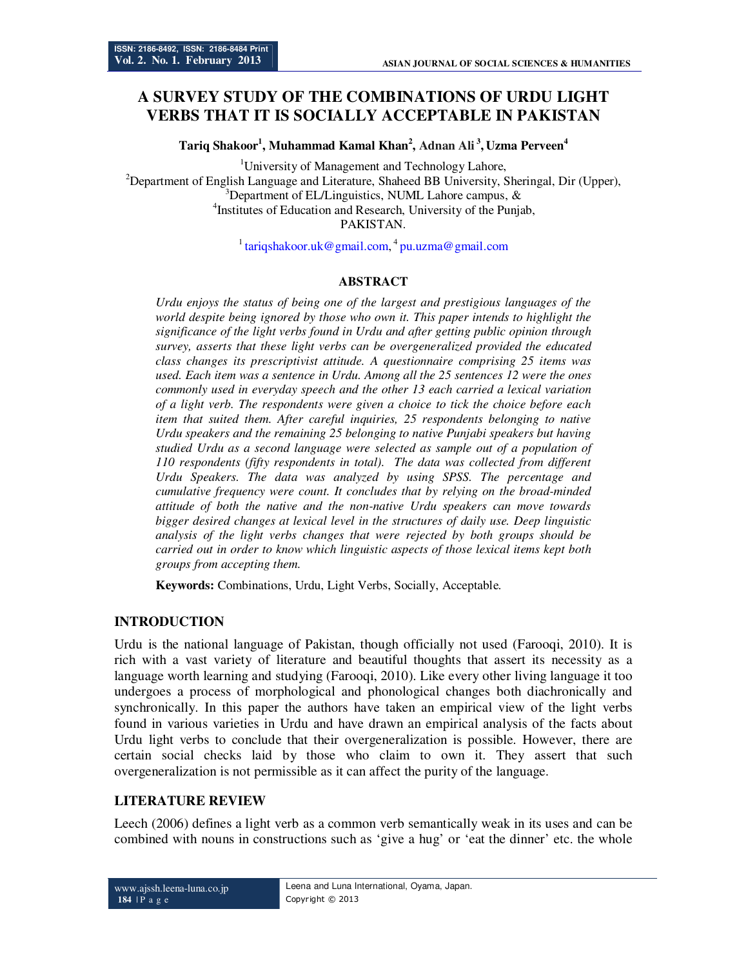# **A SURVEY STUDY OF THE COMBINATIONS OF URDU LIGHT VERBS THAT IT IS SOCIALLY ACCEPTABLE IN PAKISTAN**

**Tariq Shakoor<sup>1</sup> , Muhammad Kamal Khan<sup>2</sup> , Adnan Ali<sup>3</sup> , Uzma Perveen<sup>4</sup>** 

<sup>1</sup>University of Management and Technology Lahore, <sup>2</sup>Department of English Language and Literature, Shaheed BB University, Sheringal, Dir (Upper), <sup>3</sup>Department of EL/Linguistics, NUML Lahore campus,  $\&$ <sup>4</sup>Institutes of Education and Research, University of the Punjab, PAKISTAN.

<sup>1</sup> tariqshakoor.uk@gmail.com,<sup>4</sup> pu.uzma@gmail.com

# **ABSTRACT**

*Urdu enjoys the status of being one of the largest and prestigious languages of the world despite being ignored by those who own it. This paper intends to highlight the significance of the light verbs found in Urdu and after getting public opinion through survey, asserts that these light verbs can be overgeneralized provided the educated class changes its prescriptivist attitude. A questionnaire comprising 25 items was used. Each item was a sentence in Urdu. Among all the 25 sentences 12 were the ones commonly used in everyday speech and the other 13 each carried a lexical variation of a light verb. The respondents were given a choice to tick the choice before each item that suited them. After careful inquiries, 25 respondents belonging to native Urdu speakers and the remaining 25 belonging to native Punjabi speakers but having studied Urdu as a second language were selected as sample out of a population of 110 respondents (fifty respondents in total). The data was collected from different Urdu Speakers. The data was analyzed by using SPSS. The percentage and cumulative frequency were count. It concludes that by relying on the broad-minded attitude of both the native and the non-native Urdu speakers can move towards bigger desired changes at lexical level in the structures of daily use. Deep linguistic analysis of the light verbs changes that were rejected by both groups should be carried out in order to know which linguistic aspects of those lexical items kept both groups from accepting them.* 

**Keywords:** Combinations, Urdu, Light Verbs, Socially, Acceptable.

# **INTRODUCTION**

Urdu is the national language of Pakistan, though officially not used (Farooqi, 2010). It is rich with a vast variety of literature and beautiful thoughts that assert its necessity as a language worth learning and studying (Farooqi, 2010). Like every other living language it too undergoes a process of morphological and phonological changes both diachronically and synchronically. In this paper the authors have taken an empirical view of the light verbs found in various varieties in Urdu and have drawn an empirical analysis of the facts about Urdu light verbs to conclude that their overgeneralization is possible. However, there are certain social checks laid by those who claim to own it. They assert that such overgeneralization is not permissible as it can affect the purity of the language.

# **LITERATURE REVIEW**

Leech (2006) defines a light verb as a common verb semantically weak in its uses and can be combined with nouns in constructions such as 'give a hug' or 'eat the dinner' etc. the whole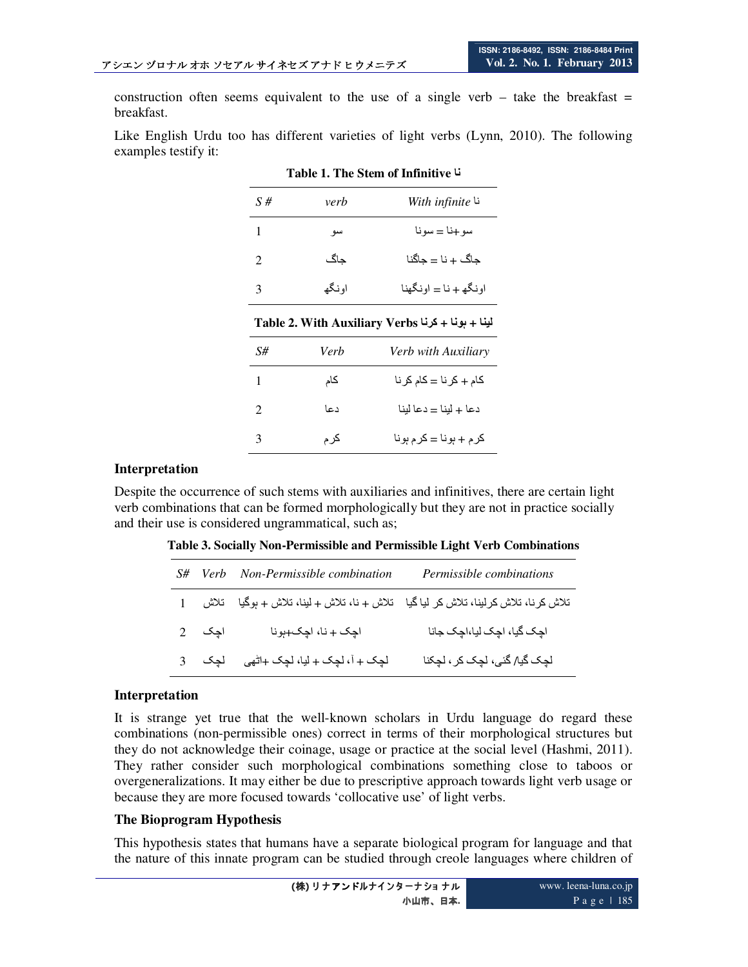construction often seems equivalent to the use of a single verb  $-$  take the breakfast  $=$ breakfast.

|                      |  |  |  |  |  | Like English Urdu too has different varieties of light verbs (Lynn, 2010). The following |
|----------------------|--|--|--|--|--|------------------------------------------------------------------------------------------|
| examples testify it: |  |  |  |  |  |                                                                                          |

| $S \#$         | verb                                                     | نا With infinite        |  |  |  |  |
|----------------|----------------------------------------------------------|-------------------------|--|--|--|--|
| 1              | سو                                                       | سو +نا = سو نا          |  |  |  |  |
| $\mathfrak{D}$ | جاگ                                                      | جاگ + نا = جاگنا        |  |  |  |  |
| 3              | او نگھ                                                   | او نگھ + نا = او نگھنا  |  |  |  |  |
|                | لَيْنَا + بِونَا + كَرْنَا Table 2. With Auxiliary Verbs |                         |  |  |  |  |
| S#             | Verb                                                     | Verb with Auxiliary     |  |  |  |  |
| $\mathbf{1}$   | كام                                                      | کام + کر نا = کام کر نا |  |  |  |  |
| $\mathfrak{D}$ | دعا                                                      | دعا + لينا = دعا لبنا   |  |  |  |  |
| 3              | کر م                                                     | كرم + ہونا = كرم ہونا   |  |  |  |  |

**Table 1. The Stem of Infinitive نا**

#### **Interpretation**

Despite the occurrence of such stems with auxiliaries and infinitives, there are certain light verb combinations that can be formed morphologically but they are not in practice socially and their use is considered ungrammatical, such as;

**Table 3. Socially Non-Permissible and Permissible Light Verb Combinations** 

| S# | Verb  | Non-Permissible combination                  | <i>Permissible combinations</i>                                                   |
|----|-------|----------------------------------------------|-----------------------------------------------------------------------------------|
|    |       |                                              | تلاش كرنا، تلاش كرلينا، تلاش كر ليا گيا تلاش + نا، تلاش + لينا، تلاش + بوگيا تلاش |
|    | اچک 2 | اچک + نا، اچک+ٻونا                           | اچک گیا، اچک لیا،اچک جانا                                                         |
|    | لجک 3 | لْجِکَ + اَ، لَچِکَ + لَيا، لَچِکَ +اَتَّهِي | لْچِک گَیا/ گَئی، لْچِک کر ، لْچِکنا                                              |

#### **Interpretation**

It is strange yet true that the well-known scholars in Urdu language do regard these combinations (non-permissible ones) correct in terms of their morphological structures but they do not acknowledge their coinage, usage or practice at the social level (Hashmi, 2011). They rather consider such morphological combinations something close to taboos or overgeneralizations. It may either be due to prescriptive approach towards light verb usage or because they are more focused towards 'collocative use' of light verbs.

#### **The Bioprogram Hypothesis**

This hypothesis states that humans have a separate biological program for language and that the nature of this innate program can be studied through creole languages where children of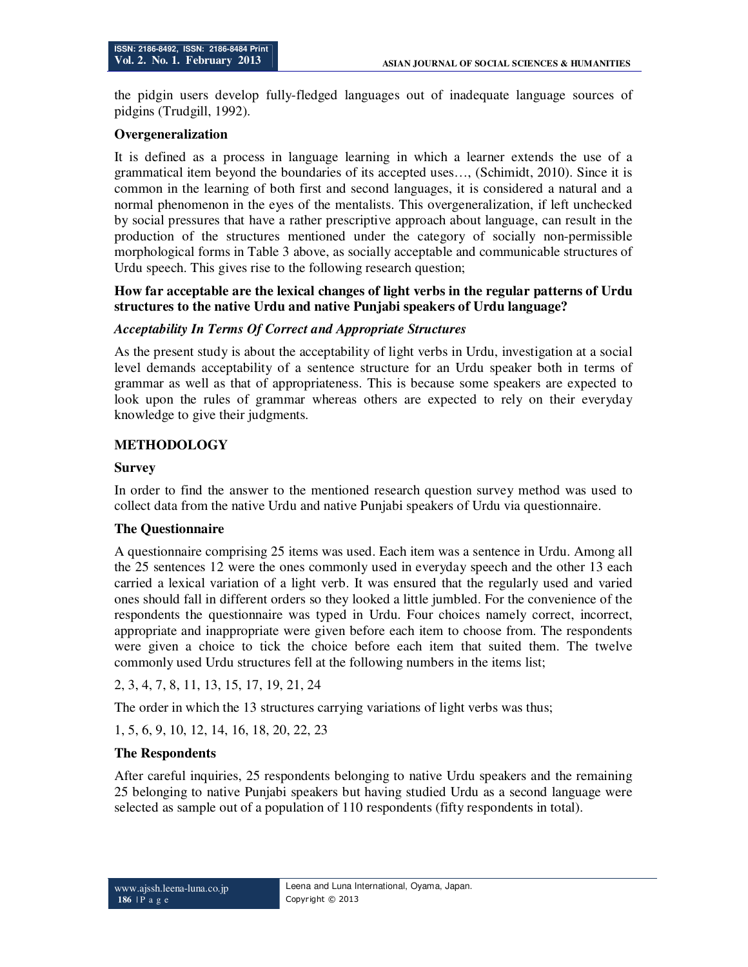the pidgin users develop fully-fledged languages out of inadequate language sources of pidgins (Trudgill, 1992).

### **Overgeneralization**

It is defined as a process in language learning in which a learner extends the use of a grammatical item beyond the boundaries of its accepted uses…, (Schimidt, 2010). Since it is common in the learning of both first and second languages, it is considered a natural and a normal phenomenon in the eyes of the mentalists. This overgeneralization, if left unchecked by social pressures that have a rather prescriptive approach about language, can result in the production of the structures mentioned under the category of socially non-permissible morphological forms in Table 3 above, as socially acceptable and communicable structures of Urdu speech. This gives rise to the following research question;

## **How far acceptable are the lexical changes of light verbs in the regular patterns of Urdu structures to the native Urdu and native Punjabi speakers of Urdu language?**

## *Acceptability In Terms Of Correct and Appropriate Structures*

As the present study is about the acceptability of light verbs in Urdu, investigation at a social level demands acceptability of a sentence structure for an Urdu speaker both in terms of grammar as well as that of appropriateness. This is because some speakers are expected to look upon the rules of grammar whereas others are expected to rely on their everyday knowledge to give their judgments.

## **METHODOLOGY**

#### **Survey**

In order to find the answer to the mentioned research question survey method was used to collect data from the native Urdu and native Punjabi speakers of Urdu via questionnaire.

#### **The Questionnaire**

A questionnaire comprising 25 items was used. Each item was a sentence in Urdu. Among all the 25 sentences 12 were the ones commonly used in everyday speech and the other 13 each carried a lexical variation of a light verb. It was ensured that the regularly used and varied ones should fall in different orders so they looked a little jumbled. For the convenience of the respondents the questionnaire was typed in Urdu. Four choices namely correct, incorrect, appropriate and inappropriate were given before each item to choose from. The respondents were given a choice to tick the choice before each item that suited them. The twelve commonly used Urdu structures fell at the following numbers in the items list;

2, 3, 4, 7, 8, 11, 13, 15, 17, 19, 21, 24

The order in which the 13 structures carrying variations of light verbs was thus;

1, 5, 6, 9, 10, 12, 14, 16, 18, 20, 22, 23

## **The Respondents**

After careful inquiries, 25 respondents belonging to native Urdu speakers and the remaining 25 belonging to native Punjabi speakers but having studied Urdu as a second language were selected as sample out of a population of 110 respondents (fifty respondents in total).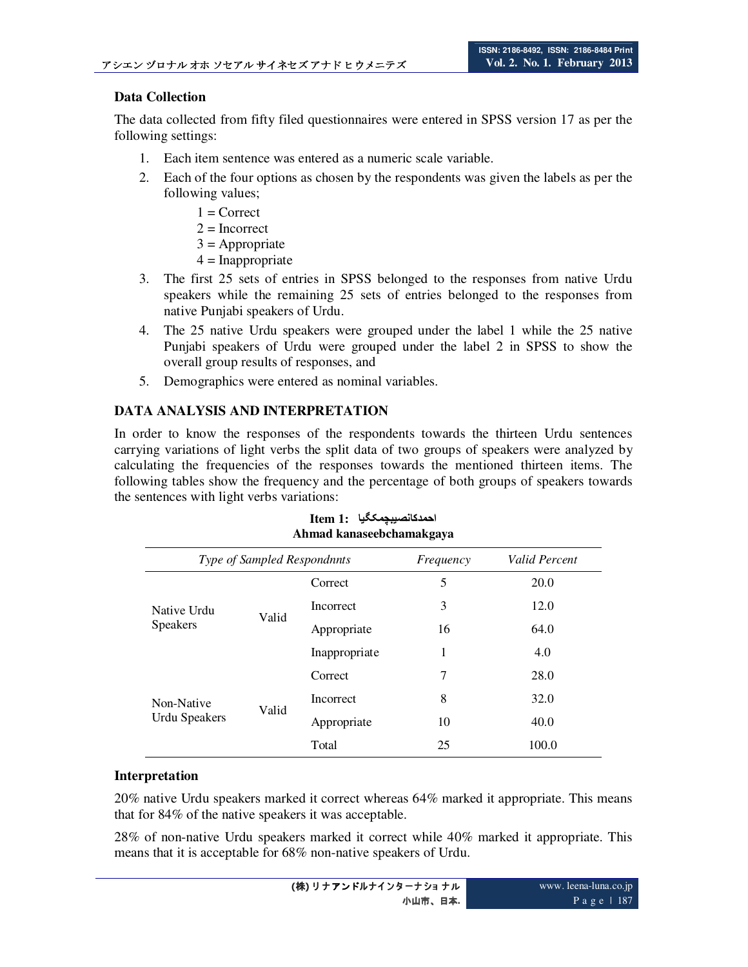# **Data Collection**

The data collected from fifty filed questionnaires were entered in SPSS version 17 as per the following settings:

- 1. Each item sentence was entered as a numeric scale variable.
- 2. Each of the four options as chosen by the respondents was given the labels as per the following values;
	- $1 =$  Correct
	- $2 =$ Incorrect
	- $3 =$  Appropriate
	- 4 = Inappropriate
- 3. The first 25 sets of entries in SPSS belonged to the responses from native Urdu speakers while the remaining 25 sets of entries belonged to the responses from native Punjabi speakers of Urdu.
- 4. The 25 native Urdu speakers were grouped under the label 1 while the 25 native Punjabi speakers of Urdu were grouped under the label 2 in SPSS to show the overall group results of responses, and
- 5. Demographics were entered as nominal variables.

# **DATA ANALYSIS AND INTERPRETATION**

In order to know the responses of the respondents towards the thirteen Urdu sentences carrying variations of light verbs the split data of two groups of speakers were analyzed by calculating the frequencies of the responses towards the mentioned thirteen items. The following tables show the frequency and the percentage of both groups of speakers towards the sentences with light verbs variations:

| Type of Sampled Respondnnts |       |                  | Frequency | Valid Percent |
|-----------------------------|-------|------------------|-----------|---------------|
|                             |       | Correct          | 5         | 20.0          |
| Native Urdu                 |       | <b>Incorrect</b> | 3         | 12.0          |
| <b>Speakers</b>             | Valid | Appropriate      | 16        | 64.0          |
|                             |       | Inappropriate    | 1         | 4.0           |
|                             |       | Correct          | 7         | 28.0          |
| Non-Native                  |       | <b>Incorrect</b> | 8         | 32.0          |
| Urdu Speakers               | Valid | Appropriate      | 10        | 40.0          |
|                             |       | Total            | 25        | 100.0         |

## **احمدکانصيبچمکگيا 1: Item Ahmad kanaseebchamakgaya**

## **Interpretation**

20% native Urdu speakers marked it correct whereas 64% marked it appropriate. This means that for 84% of the native speakers it was acceptable.

28% of non-native Urdu speakers marked it correct while 40% marked it appropriate. This means that it is acceptable for 68% non-native speakers of Urdu.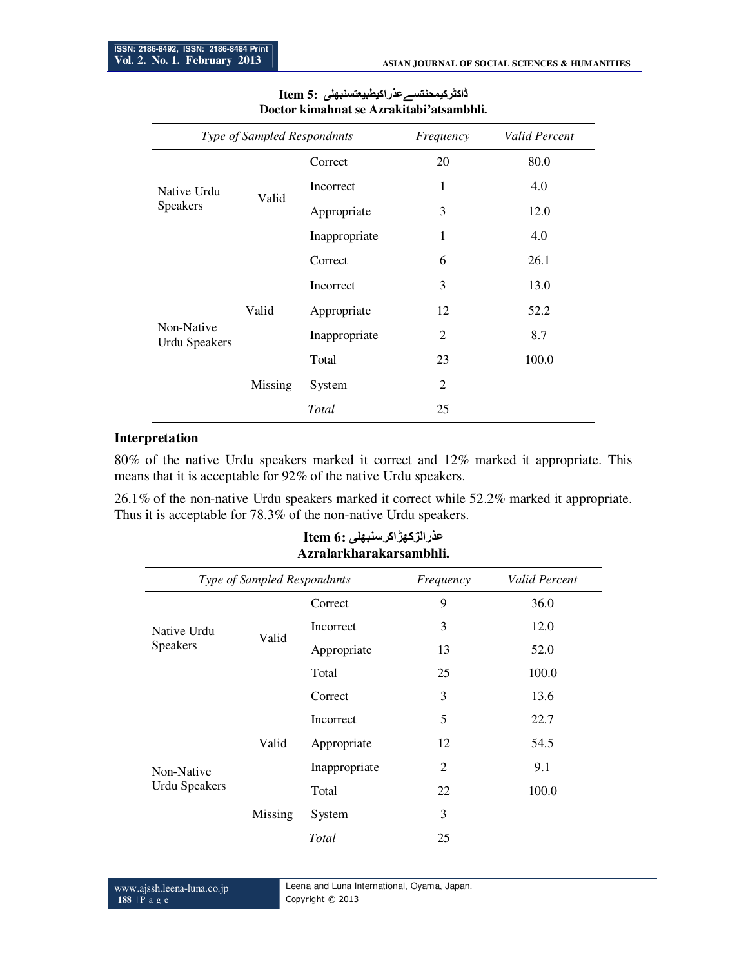| Type of Sampled Respondnnts        |         |               | Frequency      | Valid Percent |
|------------------------------------|---------|---------------|----------------|---------------|
|                                    |         | Correct       | 20             | 80.0          |
| Native Urdu                        |         | Incorrect     | 1              | 4.0           |
| <b>Speakers</b>                    | Valid   | Appropriate   | 3              | 12.0          |
|                                    |         | Inappropriate | 1              | 4.0           |
|                                    |         | Correct       | 6              | 26.1          |
|                                    |         | Incorrect     | 3              | 13.0          |
|                                    | Valid   | Appropriate   | 12             | 52.2          |
| Non-Native<br><b>Urdu Speakers</b> |         | Inappropriate | $\overline{2}$ | 8.7           |
|                                    |         | Total         | 23             | 100.0         |
|                                    | Missing | System        | $\overline{2}$ |               |
|                                    |         | Total         | 25             |               |

## **ڈاکٹرکيمحنتسےعذراکيطبيعتسنبھلی 5: Item Doctor kimahnat se Azrakitabi'atsambhli.**

# **Interpretation**

80% of the native Urdu speakers marked it correct and 12% marked it appropriate. This means that it is acceptable for 92% of the native Urdu speakers.

26.1% of the non-native Urdu speakers marked it correct while 52.2% marked it appropriate. Thus it is acceptable for 78.3% of the non-native Urdu speakers.

| Type of Sampled Respondnnts |         |               | Frequency      | Valid Percent |
|-----------------------------|---------|---------------|----------------|---------------|
|                             |         | Correct       | 9              | 36.0          |
| Native Urdu                 |         | Incorrect     | 3              | 12.0          |
| <b>Speakers</b>             | Valid   | Appropriate   | 13             | 52.0          |
|                             |         | Total         | 25             | 100.0         |
|                             |         | Correct       | 3              | 13.6          |
|                             |         | Incorrect     | 5              | 22.7          |
|                             | Valid   | Appropriate   | 12             | 54.5          |
| Non-Native                  |         | Inappropriate | $\overline{2}$ | 9.1           |
| <b>Urdu Speakers</b>        | Missing | Total         | 22             | 100.0         |
|                             |         | System        | 3              |               |
|                             |         | Total         | 25             |               |

# **عذرالڑکھڑاکرسنبھلی 6: Item Azralarkharakarsambhli.**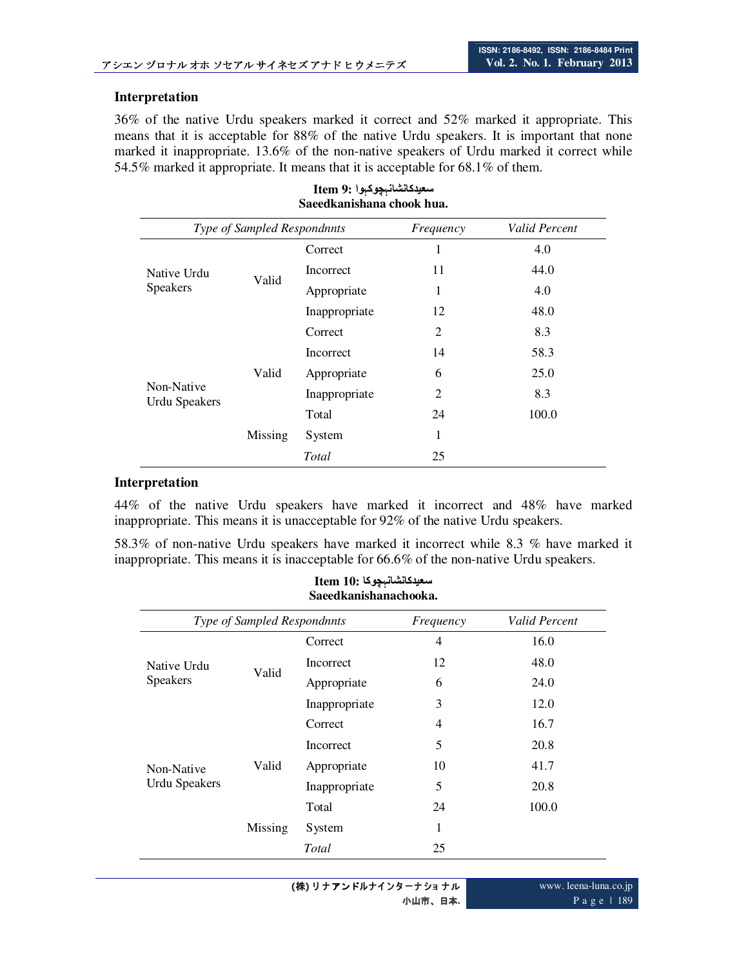36% of the native Urdu speakers marked it correct and 52% marked it appropriate. This means that it is acceptable for 88% of the native Urdu speakers. It is important that none marked it inappropriate. 13.6% of the non-native speakers of Urdu marked it correct while 54.5% marked it appropriate. It means that it is acceptable for 68.1% of them.

| Saeedkanisnana chook hua.          |         |               |                |               |  |
|------------------------------------|---------|---------------|----------------|---------------|--|
| Type of Sampled Respondnnts        |         |               | Frequency      | Valid Percent |  |
|                                    |         | Correct       | 1              | 4.0           |  |
| Native Urdu                        |         | Incorrect     | 11             | 44.0          |  |
| <b>Speakers</b>                    | Valid   | Appropriate   | 1              | 4.0           |  |
|                                    |         | Inappropriate | 12             | 48.0          |  |
|                                    |         | Correct       | 2              | 8.3           |  |
|                                    |         | Incorrect     | 14             | 58.3          |  |
|                                    | Valid   | Appropriate   | 6              | 25.0          |  |
| Non-Native<br><b>Urdu Speakers</b> |         | Inappropriate | $\overline{2}$ | 8.3           |  |
|                                    |         | Total         | 24             | 100.0         |  |
|                                    | Missing | <b>System</b> | 1              |               |  |
|                                    |         | Total         | 25             |               |  |

#### **سعيدکانشانہچوکہوا 9: Item Saeedkanishana chook hua.**

## **Interpretation**

44% of the native Urdu speakers have marked it incorrect and 48% have marked inappropriate. This means it is unacceptable for 92% of the native Urdu speakers.

58.3% of non-native Urdu speakers have marked it incorrect while 8.3 % have marked it inappropriate. This means it is inacceptable for 66.6% of the non-native Urdu speakers.

**سعيدکانشانہچوکا 10: Item**

| Saeedkanishanachooka. |                                                           |               |    |       |  |  |
|-----------------------|-----------------------------------------------------------|---------------|----|-------|--|--|
|                       | Type of Sampled Respondnnts<br>Valid Percent<br>Frequency |               |    |       |  |  |
|                       |                                                           | Correct       | 4  | 16.0  |  |  |
| Native Urdu           |                                                           | Incorrect     | 12 | 48.0  |  |  |
| <b>Speakers</b>       | Valid                                                     | Appropriate   | 6  | 24.0  |  |  |
|                       |                                                           | Inappropriate | 3  | 12.0  |  |  |
|                       |                                                           | Correct       | 4  | 16.7  |  |  |
|                       |                                                           | Incorrect     | 5  | 20.8  |  |  |
| Non-Native            | Valid                                                     | Appropriate   | 10 | 41.7  |  |  |
| <b>Urdu Speakers</b>  |                                                           | Inappropriate | 5  | 20.8  |  |  |
|                       |                                                           | Total         | 24 | 100.0 |  |  |
|                       | Missing                                                   | System        | 1  |       |  |  |
|                       |                                                           | Total         | 25 |       |  |  |

小山市、日本**.**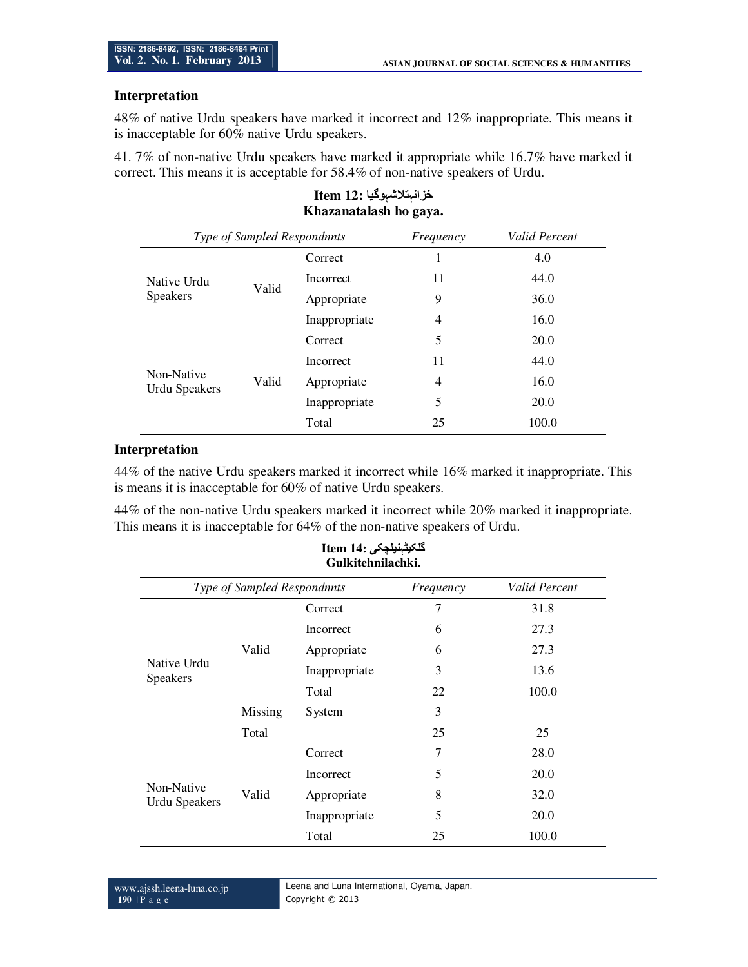48% of native Urdu speakers have marked it incorrect and 12% inappropriate. This means it is inacceptable for 60% native Urdu speakers.

41. 7% of non-native Urdu speakers have marked it appropriate while 16.7% have marked it correct. This means it is acceptable for 58.4% of non-native speakers of Urdu.

| muzuludulubli no guyu.      |                             |                  |           |               |  |
|-----------------------------|-----------------------------|------------------|-----------|---------------|--|
|                             | Type of Sampled Respondnnts |                  | Frequency | Valid Percent |  |
|                             |                             | Correct          |           | 4.0           |  |
| Native Urdu                 |                             | <b>Incorrect</b> | 11        | 44.0          |  |
| <b>Speakers</b>             | Valid                       | Appropriate      | 9         | 36.0          |  |
|                             |                             | Inappropriate    | 4         | 16.0          |  |
|                             |                             | Correct          | 5         | 20.0          |  |
|                             |                             | Incorrect        | 11        | 44.0          |  |
| Non-Native<br>Urdu Speakers | Valid                       | Appropriate      | 4         | 16.0          |  |
|                             |                             | Inappropriate    | 5         | 20.0          |  |
|                             |                             | Total            | 25        | 100.0         |  |

# **خزانہت)شہوگيا 12: Item Khazanatalash ho gaya.**

## **Interpretation**

44% of the native Urdu speakers marked it incorrect while 16% marked it inappropriate. This is means it is inacceptable for 60% of native Urdu speakers.

44% of the non-native Urdu speakers marked it incorrect while 20% marked it inappropriate. This means it is inacceptable for 64% of the non-native speakers of Urdu.

| گلكيٹېنيلچكى :Item 14<br>Gulkitehnilachki.                |         |               |    |       |  |
|-----------------------------------------------------------|---------|---------------|----|-------|--|
| Type of Sampled Respondnnts<br>Valid Percent<br>Frequency |         |               |    |       |  |
|                                                           |         | Correct       | 7  | 31.8  |  |
|                                                           |         | Incorrect     | 6  | 27.3  |  |
|                                                           | Valid   | Appropriate   | 6  | 27.3  |  |
| Native Urdu<br><b>Speakers</b>                            |         | Inappropriate | 3  | 13.6  |  |
|                                                           |         | Total         | 22 | 100.0 |  |
|                                                           | Missing | <b>System</b> | 3  |       |  |
|                                                           | Total   |               | 25 | 25    |  |
|                                                           |         | Correct       | 7  | 28.0  |  |
|                                                           |         | Incorrect     | 5  | 20.0  |  |
| Non-Native<br><b>Urdu Speakers</b>                        | Valid   | Appropriate   | 8  | 32.0  |  |
|                                                           |         | Inappropriate | 5  | 20.0  |  |
|                                                           |         | Total         | 25 | 100.0 |  |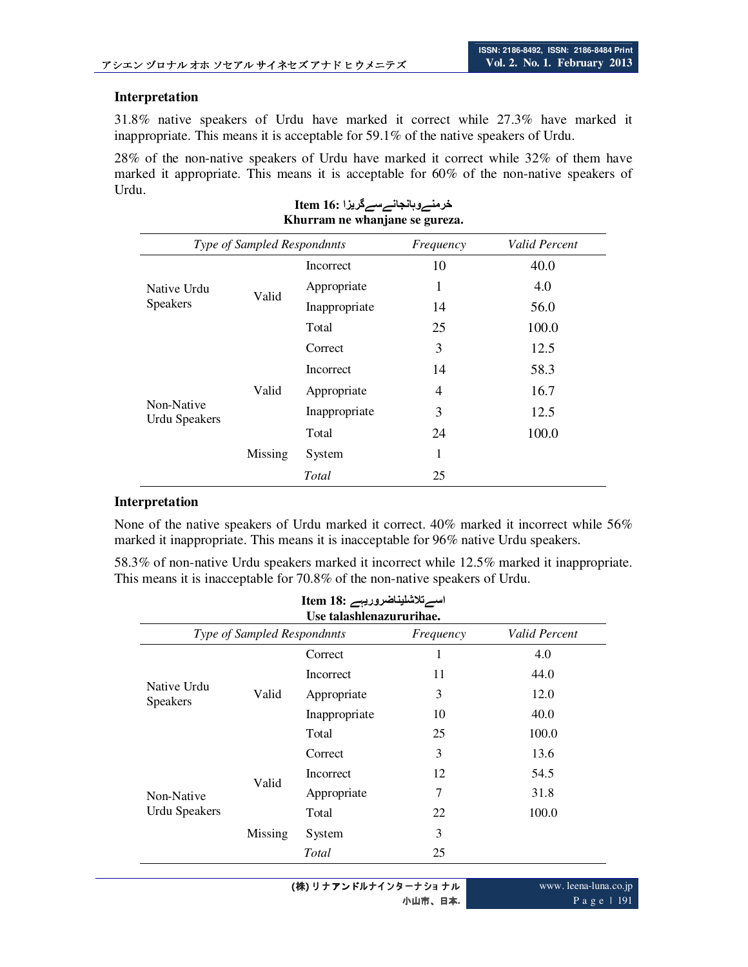31.8% native speakers of Urdu have marked it correct while 27.3% have marked it inappropriate. This means it is acceptable for 59.1% of the native speakers of Urdu.

28% of the non-native speakers of Urdu have marked it correct while 32% of them have marked it appropriate. This means it is acceptable for 60% of the non-native speakers of Urdu.

| Knurram ne whanjane se gureza.     |                             |               |           |               |  |
|------------------------------------|-----------------------------|---------------|-----------|---------------|--|
|                                    | Type of Sampled Respondnnts |               | Frequency | Valid Percent |  |
|                                    |                             | Incorrect     | 10        | 40.0          |  |
| Native Urdu                        |                             | Appropriate   | 1         | 4.0           |  |
| <b>Speakers</b>                    | Valid                       | Inappropriate | 14        | 56.0          |  |
|                                    |                             | Total         | 25        | 100.0         |  |
|                                    |                             | Correct       | 3         | 12.5          |  |
|                                    |                             | Incorrect     | 14        | 58.3          |  |
|                                    | Valid                       | Appropriate   | 4         | 16.7          |  |
| Non-Native<br><b>Urdu Speakers</b> |                             | Inappropriate | 3         | 12.5          |  |
|                                    |                             | Total         | 24        | 100.0         |  |
|                                    | Missing                     | <b>System</b> | 1         |               |  |
|                                    |                             | Total         | 25        |               |  |

#### **خرمنےوہانجانےسےگريزا 16: Item Khurram ne whanjane se gureza.**

#### **Interpretation**

None of the native speakers of Urdu marked it correct. 40% marked it incorrect while 56% marked it inappropriate. This means it is inacceptable for 96% native Urdu speakers.

58.3% of non-native Urdu speakers marked it incorrect while 12.5% marked it inappropriate. This means it is inacceptable for 70.8% of the non-native speakers of Urdu.

| اسےتلاشلیناضروریہے :18 Item    |                                    |                  |           |               |  |  |  |
|--------------------------------|------------------------------------|------------------|-----------|---------------|--|--|--|
|                                | Use talashlenazururihae.           |                  |           |               |  |  |  |
|                                | <b>Type of Sampled Respondnnts</b> |                  | Frequency | Valid Percent |  |  |  |
|                                |                                    | Correct          | 1         | 4.0           |  |  |  |
|                                |                                    | <b>Incorrect</b> | 11        | 44.0          |  |  |  |
| Native Urdu<br><b>Speakers</b> | Valid                              | Appropriate      | 3         | 12.0          |  |  |  |
|                                |                                    | Inappropriate    | 10        | 40.0          |  |  |  |
|                                |                                    | Total            | 25        | 100.0         |  |  |  |
|                                |                                    | Correct          | 3         | 13.6          |  |  |  |
|                                |                                    | <b>Incorrect</b> | 12        | 54.5          |  |  |  |
| Non-Native                     | Valid                              | Appropriate      | 7         | 31.8          |  |  |  |
| <b>Urdu Speakers</b>           |                                    | Total            | 22        | 100.0         |  |  |  |
|                                | Missing                            | <b>System</b>    | 3         |               |  |  |  |
|                                |                                    | Total            | 25        |               |  |  |  |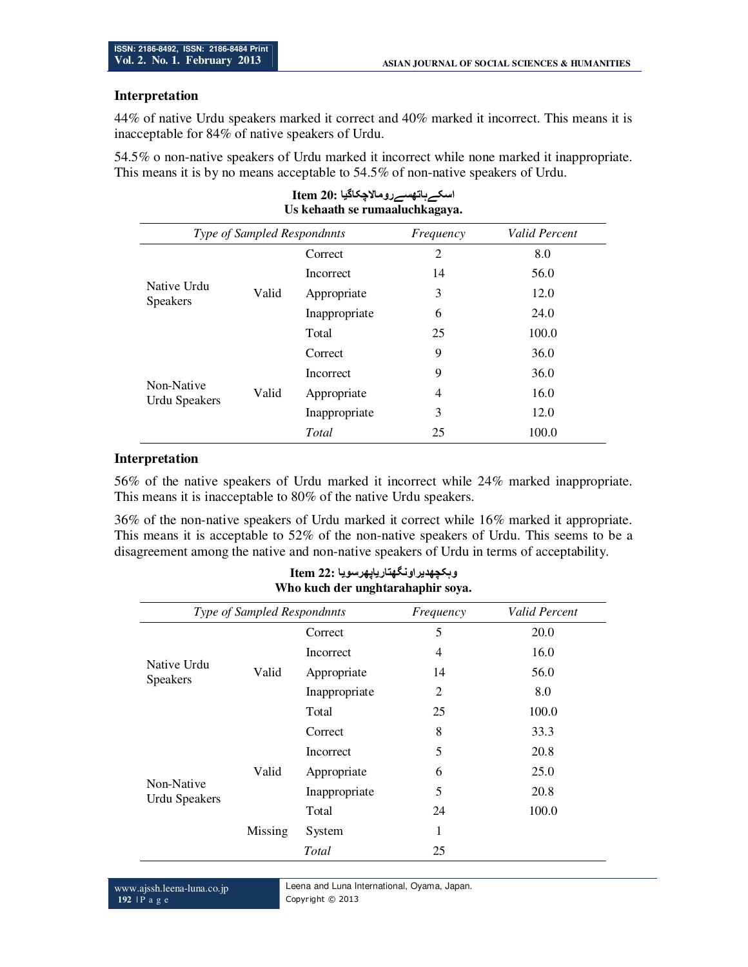44% of native Urdu speakers marked it correct and 40% marked it incorrect. This means it is inacceptable for 84% of native speakers of Urdu.

54.5% o non-native speakers of Urdu marked it incorrect while none marked it inappropriate. This means it is by no means acceptable to 54.5% of non-native speakers of Urdu.

| US Kenaatu se fumaaluchkagaya.           |       |               |                |               |
|------------------------------------------|-------|---------------|----------------|---------------|
| Type of Sampled Respondnnts<br>Frequency |       |               |                | Valid Percent |
| Native Urdu<br><b>Speakers</b>           | Valid | Correct       | $\overline{2}$ | 8.0           |
|                                          |       | Incorrect     | 14             | 56.0          |
|                                          |       | Appropriate   | 3              | 12.0          |
|                                          |       | Inappropriate | 6              | 24.0          |
|                                          |       | Total         | 25             | 100.0         |
| Non-Native<br><b>Urdu Speakers</b>       | Valid | Correct       | 9              | 36.0          |
|                                          |       | Incorrect     | 9              | 36.0          |
|                                          |       | Appropriate   | $\overline{4}$ | 16.0          |
|                                          |       | Inappropriate | 3              | 12.0          |
|                                          |       | Total         | 25             | 100.0         |

#### **اسکےہاتھسےروما2چکاگيا 20: Item Us kehaath se rumaaluchkagaya.**

#### **Interpretation**

56% of the native speakers of Urdu marked it incorrect while 24% marked inappropriate. This means it is inacceptable to 80% of the native Urdu speakers.

36% of the non-native speakers of Urdu marked it correct while 16% marked it appropriate. This means it is acceptable to 52% of the non-native speakers of Urdu. This seems to be a disagreement among the native and non-native speakers of Urdu in terms of acceptability.

| وېكچهديراونگهتارياپهرسويا :12 Item<br>Who kuch der unghtarahaphir soya. |         |                  |                |               |
|-------------------------------------------------------------------------|---------|------------------|----------------|---------------|
| Type of Sampled Respondnnts                                             |         |                  | Frequency      | Valid Percent |
|                                                                         | Valid   | Correct          | 5              | 20.0          |
|                                                                         |         | <b>Incorrect</b> | 4              | 16.0          |
| Native Urdu<br><b>Speakers</b>                                          |         | Appropriate      | 14             | 56.0          |
|                                                                         |         | Inappropriate    | $\overline{2}$ | 8.0           |
|                                                                         |         | Total            | 25             | 100.0         |
|                                                                         |         | Correct          | 8              | 33.3          |
|                                                                         | Valid   | <b>Incorrect</b> | 5              | 20.8          |
|                                                                         |         | Appropriate      | 6              | 25.0          |
| Non-Native<br>Urdu Speakers                                             |         | Inappropriate    | 5              | 20.8          |
|                                                                         | Missing | Total            | 24             | 100.0         |
|                                                                         |         | <b>System</b>    | 1              |               |
|                                                                         |         | Total            | 25             |               |

Leena and Luna International, Oyama, Japan. Copyright © 2013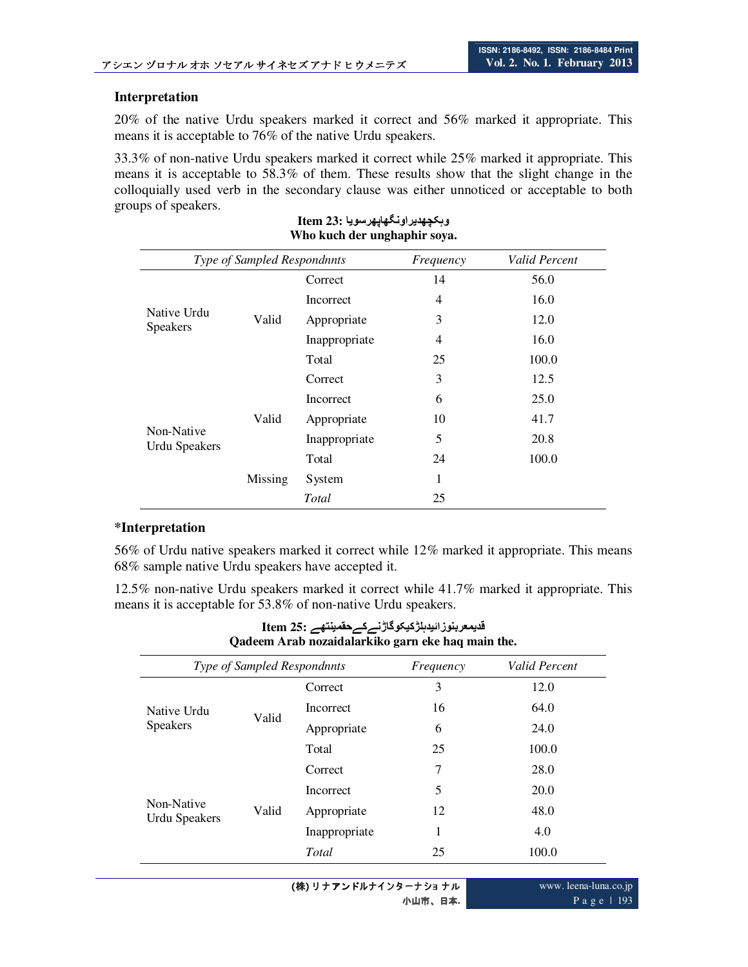20% of the native Urdu speakers marked it correct and 56% marked it appropriate. This means it is acceptable to 76% of the native Urdu speakers.

33.3% of non-native Urdu speakers marked it correct while 25% marked it appropriate. This means it is acceptable to 58.3% of them. These results show that the slight change in the colloquially used verb in the secondary clause was either unnoticed or acceptable to both groups of speakers.

| Type of Sampled Respondnnts        |         |               | Frequency      | Valid Percent |
|------------------------------------|---------|---------------|----------------|---------------|
| Native Urdu<br><b>Speakers</b>     | Valid   | Correct       | 14             | 56.0          |
|                                    |         | Incorrect     | $\overline{4}$ | 16.0          |
|                                    |         | Appropriate   | 3              | 12.0          |
|                                    |         | Inappropriate | $\overline{4}$ | 16.0          |
|                                    |         | Total         | 25             | 100.0         |
|                                    |         | Correct       | 3              | 12.5          |
| Non-Native<br><b>Urdu Speakers</b> |         | Incorrect     | 6              | 25.0          |
|                                    | Valid   | Appropriate   | 10             | 41.7          |
|                                    |         | Inappropriate | 5              | 20.8          |
|                                    |         | Total         | 24             | 100.0         |
|                                    | Missing | System        | 1              |               |
|                                    |         | Total         | 25             |               |

#### **وہکچھديراونگھاپھرسويا 23: Item Who kuch der unghaphir soya.**

#### **\*Interpretation**

56% of Urdu native speakers marked it correct while 12% marked it appropriate. This means 68% sample native Urdu speakers have accepted it.

12.5% non-native Urdu speakers marked it correct while 41.7% marked it appropriate. This means it is acceptable for 53.8% of non-native Urdu speakers.

| Qadeem Arab nozaidalarkiko garn eke haq main the.<br>Type of Sampled Respondnnts<br>Frequency |       |                  |    | Valid Percent |
|-----------------------------------------------------------------------------------------------|-------|------------------|----|---------------|
| Native Urdu<br><b>Speakers</b>                                                                | Valid | Correct          | 3  | 12.0          |
|                                                                                               |       | Incorrect        | 16 | 64.0          |
|                                                                                               |       | Appropriate      | 6  | 24.0          |
|                                                                                               |       | Total            | 25 | 100.0         |
| Non-Native<br><b>Urdu Speakers</b>                                                            | Valid | Correct          | 7  | 28.0          |
|                                                                                               |       | <b>Incorrect</b> | 5  | 20.0          |
|                                                                                               |       | Appropriate      | 12 | 48.0          |
|                                                                                               |       | Inappropriate    | 1  | 4.0           |
|                                                                                               |       | Total            | 25 | 100.0         |

# **قديمعربنوزائيدہلڑکيکوگاڑنےکےحقمينتھے 25: Item**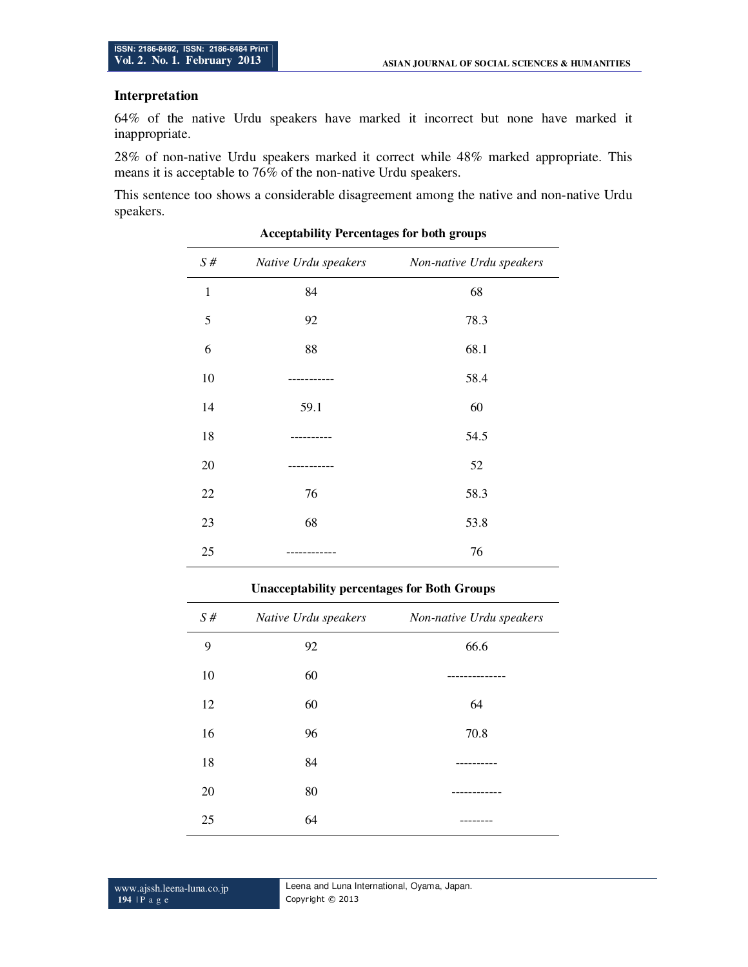64% of the native Urdu speakers have marked it incorrect but none have marked it inappropriate.

28% of non-native Urdu speakers marked it correct while 48% marked appropriate. This means it is acceptable to 76% of the non-native Urdu speakers.

This sentence too shows a considerable disagreement among the native and non-native Urdu speakers.

| S#           | Native Urdu speakers | Non-native Urdu speakers |
|--------------|----------------------|--------------------------|
| $\mathbf{1}$ | 84                   | 68                       |
| 5            | 92                   | 78.3                     |
| 6            | 88                   | 68.1                     |
| 10           |                      | 58.4                     |
| 14           | 59.1                 | 60                       |
| 18           |                      | 54.5                     |
| 20           |                      | 52                       |
| 22           | 76                   | 58.3                     |
| 23           | 68                   | 53.8                     |
| 25           |                      | 76                       |

# **Acceptability Percentages for both groups**

#### **Unacceptability percentages for Both Groups**

| S# | Native Urdu speakers | Non-native Urdu speakers |
|----|----------------------|--------------------------|
| 9  | 92                   | 66.6                     |
| 10 | 60                   |                          |
| 12 | 60                   | 64                       |
| 16 | 96                   | 70.8                     |
| 18 | 84                   |                          |
| 20 | 80                   |                          |
| 25 | 64                   |                          |